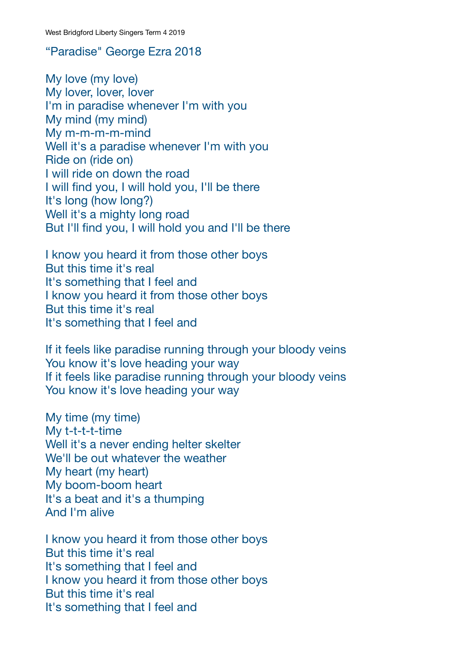## "Paradise" George Ezra 2018

My love (my love) My lover, lover, lover I'm in paradise whenever I'm with you My mind (my mind) My m-m-m-m-mind Well it's a paradise whenever I'm with you Ride on (ride on) I will ride on down the road I will find you, I will hold you, I'll be there It's long (how long?) Well it's a mighty long road But I'll find you, I will hold you and I'll be there

I know you heard it from those other boys But this time it's real It's something that I feel and I know you heard it from those other boys But this time it's real It's something that I feel and

If it feels like paradise running through your bloody veins You know it's love heading your way If it feels like paradise running through your bloody veins You know it's love heading your way

My time (my time) My t-t-t-t-time Well it's a never ending helter skelter We'll be out whatever the weather My heart (my heart) My boom-boom heart It's a beat and it's a thumping And I'm alive

I know you heard it from those other boys But this time it's real It's something that I feel and I know you heard it from those other boys But this time it's real It's something that I feel and